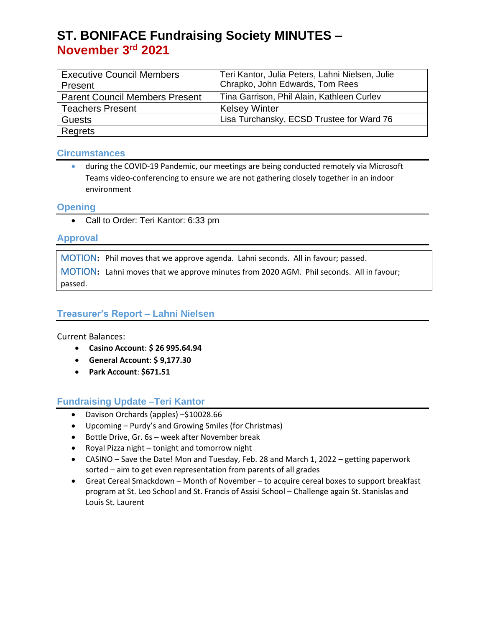# **ST. BONIFACE Fundraising Society MINUTES – November 3 rd 2021**

| <b>Executive Council Members</b>      | Teri Kantor, Julia Peters, Lahni Nielsen, Julie |
|---------------------------------------|-------------------------------------------------|
| Present                               | Chrapko, John Edwards, Tom Rees                 |
| <b>Parent Council Members Present</b> | Tina Garrison, Phil Alain, Kathleen Curlev      |
| <b>Teachers Present</b>               | <b>Kelsey Winter</b>                            |
| <b>Guests</b>                         | Lisa Turchansky, ECSD Trustee for Ward 76       |
| Regrets                               |                                                 |

#### **Circumstances**

• during the COVID-19 Pandemic, our meetings are being conducted remotely via Microsoft Teams video-conferencing to ensure we are not gathering closely together in an indoor environment

#### **Opening**

• Call to Order: Teri Kantor: 6:33 pm

#### **Approval**

MOTION**:** Phil moves that we approve agenda. Lahni seconds. All in favour; passed. MOTION**:** Lahni moves that we approve minutes from 2020 AGM. Phil seconds. All in favour; passed.

### **Treasurer's Report – Lahni Nielsen**

Current Balances:

- **Casino Account**: **\$ 26 995.64.94**
- **General Account**: **\$ 9,177.30**
- **Park Account**: **\$671.51**

## **Fundraising Update –Teri Kantor**

- Davison Orchards (apples) –\$10028.66
- Upcoming Purdy's and Growing Smiles (for Christmas)
- Bottle Drive, Gr. 6s week after November break
- Royal Pizza night tonight and tomorrow night
- CASINO Save the Date! Mon and Tuesday, Feb. 28 and March 1, 2022 getting paperwork sorted – aim to get even representation from parents of all grades
- Great Cereal Smackdown Month of November to acquire cereal boxes to support breakfast program at St. Leo School and St. Francis of Assisi School – Challenge again St. Stanislas and Louis St. Laurent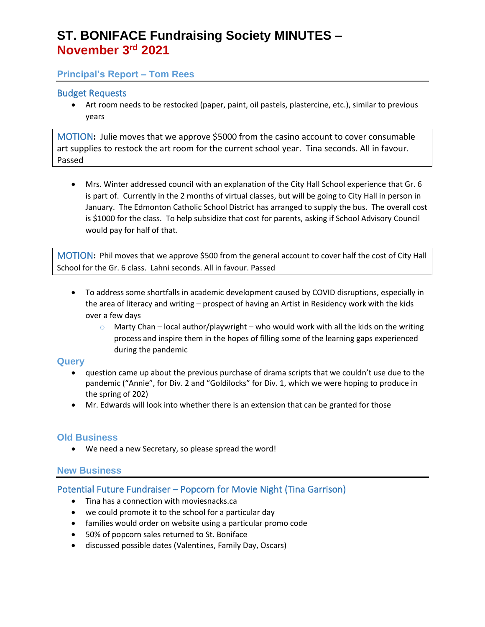# **ST. BONIFACE Fundraising Society MINUTES – November 3 rd 2021**

### **Principal's Report – Tom Rees**

#### Budget Requests

• Art room needs to be restocked (paper, paint, oil pastels, plastercine, etc.), similar to previous years

MOTION**:** Julie moves that we approve \$5000 from the casino account to cover consumable art supplies to restock the art room for the current school year. Tina seconds. All in favour. Passed

• Mrs. Winter addressed council with an explanation of the City Hall School experience that Gr. 6 is part of. Currently in the 2 months of virtual classes, but will be going to City Hall in person in January. The Edmonton Catholic School District has arranged to supply the bus. The overall cost is \$1000 for the class. To help subsidize that cost for parents, asking if School Advisory Council would pay for half of that.

MOTION**:** Phil moves that we approve \$500 from the general account to cover half the cost of City Hall School for the Gr. 6 class. Lahni seconds. All in favour. Passed

- To address some shortfalls in academic development caused by COVID disruptions, especially in the area of literacy and writing – prospect of having an Artist in Residency work with the kids over a few days
	- $\circ$  Marty Chan local author/playwright who would work with all the kids on the writing process and inspire them in the hopes of filling some of the learning gaps experienced during the pandemic

#### **Query**

- question came up about the previous purchase of drama scripts that we couldn't use due to the pandemic ("Annie", for Div. 2 and "Goldilocks" for Div. 1, which we were hoping to produce in the spring of 202)
- Mr. Edwards will look into whether there is an extension that can be granted for those

#### **Old Business**

• We need a new Secretary, so please spread the word!

#### **New Business**

### Potential Future Fundraiser – Popcorn for Movie Night (Tina Garrison)

- Tina has a connection with moviesnacks.ca
- we could promote it to the school for a particular day
- families would order on website using a particular promo code
- 50% of popcorn sales returned to St. Boniface
- discussed possible dates (Valentines, Family Day, Oscars)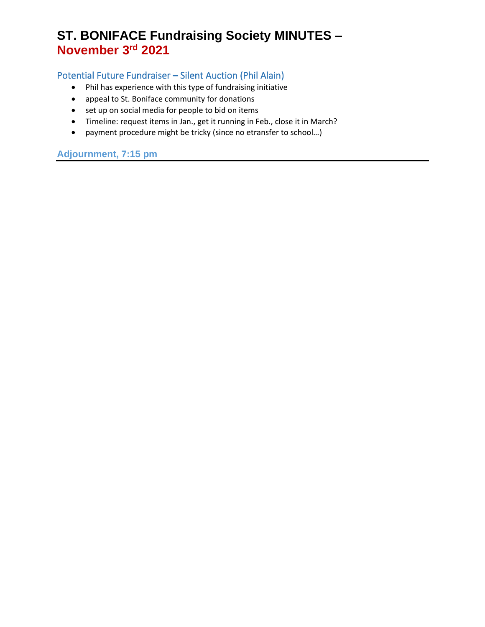# **ST. BONIFACE Fundraising Society MINUTES – November 3 rd 2021**

## Potential Future Fundraiser – Silent Auction (Phil Alain)

- Phil has experience with this type of fundraising initiative
- appeal to St. Boniface community for donations
- set up on social media for people to bid on items
- Timeline: request items in Jan., get it running in Feb., close it in March?
- payment procedure might be tricky (since no etransfer to school…)

## **Adjournment, 7:15 pm**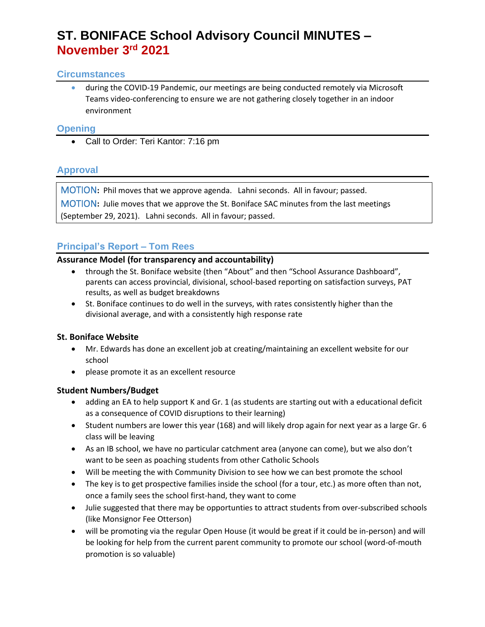# **ST. BONIFACE School Advisory Council MINUTES – November 3 rd 2021**

#### **Circumstances**

• during the COVID-19 Pandemic, our meetings are being conducted remotely via Microsoft Teams video-conferencing to ensure we are not gathering closely together in an indoor environment

#### **Opening**

• Call to Order: Teri Kantor: 7:16 pm

## **Approval**

MOTION**:** Phil moves that we approve agenda. Lahni seconds. All in favour; passed.

MOTION**:** Julie moves that we approve the St. Boniface SAC minutes from the last meetings (September 29, 2021). Lahni seconds. All in favour; passed.

## **Principal's Report – Tom Rees**

#### **Assurance Model (for transparency and accountability)**

- through the St. Boniface website (then "About" and then "School Assurance Dashboard", parents can access provincial, divisional, school-based reporting on satisfaction surveys, PAT results, as well as budget breakdowns
- St. Boniface continues to do well in the surveys, with rates consistently higher than the divisional average, and with a consistently high response rate

### **St. Boniface Website**

- Mr. Edwards has done an excellent job at creating/maintaining an excellent website for our school
- please promote it as an excellent resource

### **Student Numbers/Budget**

- adding an EA to help support K and Gr. 1 (as students are starting out with a educational deficit as a consequence of COVID disruptions to their learning)
- Student numbers are lower this year (168) and will likely drop again for next year as a large Gr. 6 class will be leaving
- As an IB school, we have no particular catchment area (anyone can come), but we also don't want to be seen as poaching students from other Catholic Schools
- Will be meeting the with Community Division to see how we can best promote the school
- The key is to get prospective families inside the school (for a tour, etc.) as more often than not, once a family sees the school first-hand, they want to come
- Julie suggested that there may be opportunties to attract students from over-subscribed schools (like Monsignor Fee Otterson)
- will be promoting via the regular Open House (it would be great if it could be in-person) and will be looking for help from the current parent community to promote our school (word-of-mouth promotion is so valuable)